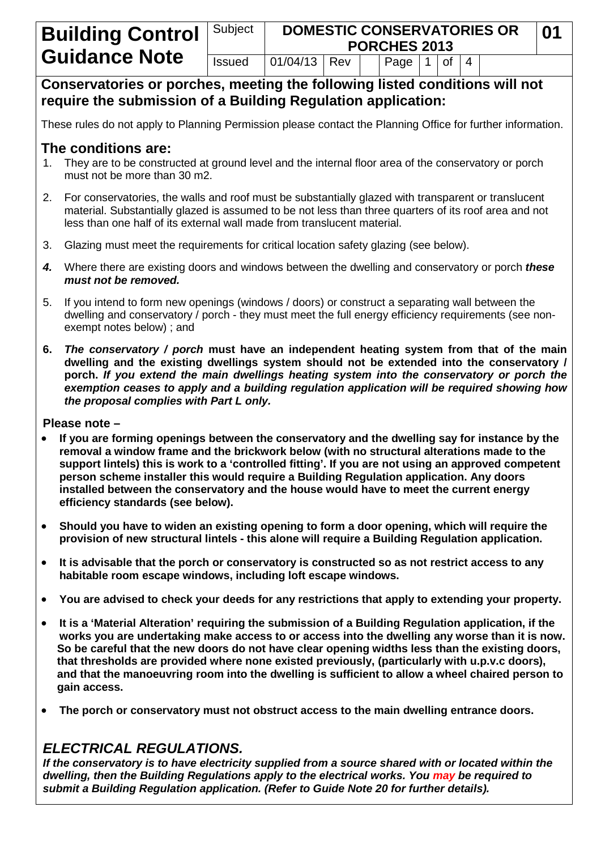**Conservatories or porches, meeting the following listed conditions will not require the submission of a Building Regulation application:**

These rules do not apply to Planning Permission please contact the Planning Office for further information.

# **The conditions are:**

- 1. They are to be constructed at ground level and the internal floor area of the conservatory or porch must not be more than 30 m2.
- 2. For conservatories, the walls and roof must be substantially glazed with transparent or translucent material. Substantially glazed is assumed to be not less than three quarters of its roof area and not less than one half of its external wall made from translucent material.
- 3. Glazing must meet the requirements for critical location safety glazing (see below).
- *4.* Where there are existing doors and windows between the dwelling and conservatory or porch *these must not be removed.*
- 5. If you intend to form new openings (windows / doors) or construct a separating wall between the dwelling and conservatory / porch - they must meet the full energy efficiency requirements (see nonexempt notes below) ; and
- **6.** *The conservatory / porch* **must have an independent heating system from that of the main dwelling and the existing dwellings system should not be extended into the conservatory / porch.** *If you extend the main dwellings heating system into the conservatory or porch the exemption ceases to apply and a building regulation application will be required showing how the proposal complies with Part L only.*

**Please note –** 

- **If you are forming openings between the conservatory and the dwelling say for instance by the removal a window frame and the brickwork below (with no structural alterations made to the support lintels) this is work to a 'controlled fitting'. If you are not using an approved competent person scheme installer this would require a Building Regulation application. Any doors installed between the conservatory and the house would have to meet the current energy efficiency standards (see below).**
- **Should you have to widen an existing opening to form a door opening, which will require the provision of new structural lintels - this alone will require a Building Regulation application.**
- **It is advisable that the porch or conservatory is constructed so as not restrict access to any habitable room escape windows, including loft escape windows.**
- **You are advised to check your deeds for any restrictions that apply to extending your property.**
- **It is a 'Material Alteration' requiring the submission of a Building Regulation application, if the works you are undertaking make access to or access into the dwelling any worse than it is now. So be careful that the new doors do not have clear opening widths less than the existing doors, that thresholds are provided where none existed previously, (particularly with u.p.v.c doors), and that the manoeuvring room into the dwelling is sufficient to allow a wheel chaired person to gain access.**
- **The porch or conservatory must not obstruct access to the main dwelling entrance doors.**

# *ELECTRICAL REGULATIONS.*

*If the conservatory is to have electricity supplied from a source shared with or located within the dwelling, then the Building Regulations apply to the electrical works. You may be required to submit a Building Regulation application. (Refer to Guide Note 20 for further details).*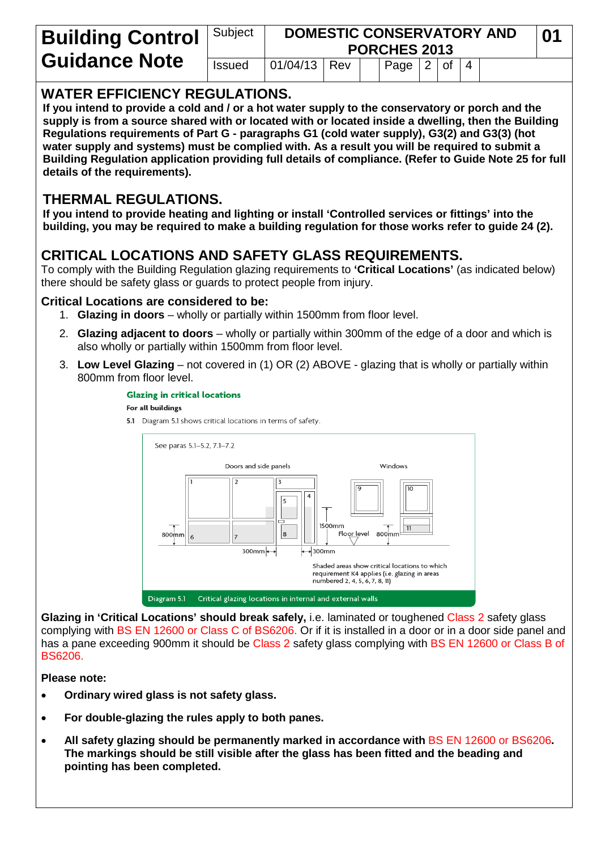| <b>Building Control</b>   Subject |               | <b>DOMESTIC CONSERVATORY AND</b><br><b>PORCHES 2013</b> |     |  |                                             |  |  |  |  |  |
|-----------------------------------|---------------|---------------------------------------------------------|-----|--|---------------------------------------------|--|--|--|--|--|
| <b>Guidance Note</b>              | <b>Issued</b> | 01/04/13                                                | Rev |  | $\vert$ Page $\vert$ 2 $\vert$ of $\vert$ 4 |  |  |  |  |  |

### **WATER EFFICIENCY REGULATIONS.**

**If you intend to provide a cold and / or a hot water supply to the conservatory or porch and the supply is from a source shared with or located with or located inside a dwelling, then the Building Regulations requirements of Part G - paragraphs G1 (cold water supply), G3(2) and G3(3) (hot water supply and systems) must be complied with. As a result you will be required to submit a Building Regulation application providing full details of compliance. (Refer to Guide Note 25 for full details of the requirements).**

# **THERMAL REGULATIONS.**

**If you intend to provide heating and lighting or install 'Controlled services or fittings' into the building, you may be required to make a building regulation for those works refer to guide 24 (2).**

# **CRITICAL LOCATIONS AND SAFETY GLASS REQUIREMENTS.**

To comply with the Building Regulation glazing requirements to **'Critical Locations'** (as indicated below) there should be safety glass or guards to protect people from injury.

#### **Critical Locations are considered to be:**

- 1. **Glazing in doors** wholly or partially within 1500mm from floor level.
- 2. **Glazing adjacent to doors** wholly or partially within 300mm of the edge of a door and which is also wholly or partially within 1500mm from floor level.
- 3. **Low Level Glazing** not covered in (1) OR (2) ABOVE glazing that is wholly or partially within 800mm from floor level.



Glazing in 'Critical Locations' should break safely, i.e. laminated or toughened Class 2 safety glass complying with BS EN 12600 or Class C of BS6206. Or if it is installed in a door or in a door side panel and has a pane exceeding 900mm it should be Class 2 safety glass complying with BS EN 12600 or Class B of BS6206.

#### **Please note:**

- **Ordinary wired glass is not safety glass.**
- **For double-glazing the rules apply to both panes.**
- All safety glazing should be permanently marked in accordance with **BS EN 12600 or BS6206**. **The markings should be still visible after the glass has been fitted and the beading and pointing has been completed.**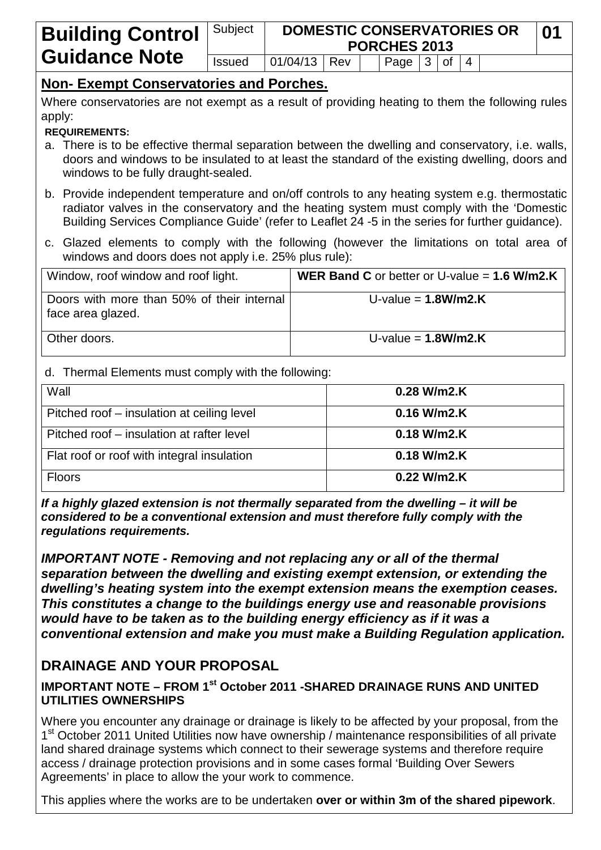| <b>Building Control</b>   Subject |               | <b>DOMESTIC CONSERVATORIES OR</b><br>01<br><b>PORCHES 2013</b> |  |  |                                |  |  |  |  |  |
|-----------------------------------|---------------|----------------------------------------------------------------|--|--|--------------------------------|--|--|--|--|--|
| <b>Guidance Note</b>              | <b>Issued</b> | $ 01/04/13 $ Rev                                               |  |  | Page $3 \mid \text{of} \mid 4$ |  |  |  |  |  |

# **Non- Exempt Conservatories and Porches.**

Where conservatories are not exempt as a result of providing heating to them the following rules apply:

#### **REQUIREMENTS:**

- a. There is to be effective thermal separation between the dwelling and conservatory, i.e. walls, doors and windows to be insulated to at least the standard of the existing dwelling, doors and windows to be fully draught-sealed.
- b. Provide independent temperature and on/off controls to any heating system e.g. thermostatic radiator valves in the conservatory and the heating system must comply with the 'Domestic Building Services Compliance Guide' (refer to Leaflet 24 -5 in the series for further guidance).
- c. Glazed elements to comply with the following (however the limitations on total area of windows and doors does not apply i.e. 25% plus rule):

| Window, roof window and roof light.                             | <b>WER Band C</b> or better or U-value $= 1.6$ W/m2.K |
|-----------------------------------------------------------------|-------------------------------------------------------|
| Doors with more than 50% of their internal<br>face area glazed. | U-value = $1.8$ W/m2.K                                |
| Other doors.                                                    | U-value = $1.8$ W/m2.K                                |

#### d. Thermal Elements must comply with the following:

| Wall                                       | $0.28$ W/m2.K |
|--------------------------------------------|---------------|
| Pitched roof – insulation at ceiling level | $0.16$ W/m2.K |
| Pitched roof – insulation at rafter level  | $0.18$ W/m2.K |
| Flat roof or roof with integral insulation | $0.18$ W/m2.K |
| <b>Floors</b>                              | 0.22 W/m2.K   |

*If a highly glazed extension is not thermally separated from the dwelling – it will be considered to be a conventional extension and must therefore fully comply with the regulations requirements.*

*IMPORTANT NOTE - Removing and not replacing any or all of the thermal separation between the dwelling and existing exempt extension, or extending the dwelling's heating system into the exempt extension means the exemption ceases. This constitutes a change to the buildings energy use and reasonable provisions would have to be taken as to the building energy efficiency as if it was a conventional extension and make you must make a Building Regulation application.*

# **DRAINAGE AND YOUR PROPOSAL**

#### **IMPORTANT NOTE – FROM 1st October 2011 -SHARED DRAINAGE RUNS AND UNITED UTILITIES OWNERSHIPS**

Where you encounter any drainage or drainage is likely to be affected by your proposal, from the 1<sup>st</sup> October 2011 United Utilities now have ownership / maintenance responsibilities of all private land shared drainage systems which connect to their sewerage systems and therefore require access / drainage protection provisions and in some cases formal 'Building Over Sewers Agreements' in place to allow the your work to commence.

This applies where the works are to be undertaken **over or within 3m of the shared pipework**.